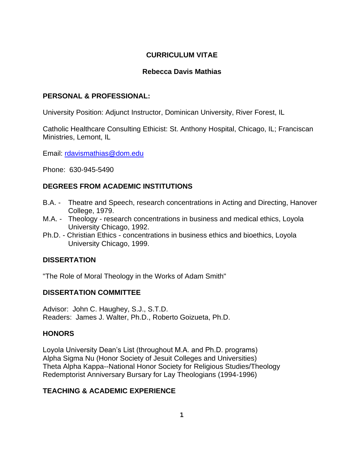# **CURRICULUM VITAE**

# **Rebecca Davis Mathias**

# **PERSONAL & PROFESSIONAL:**

University Position: Adjunct Instructor, Dominican University, River Forest, IL

Catholic Healthcare Consulting Ethicist: St. Anthony Hospital, Chicago, IL; Franciscan Ministries, Lemont, IL

Email: rdavismathias@dom.edu

Phone: 630-945-5490

# **DEGREES FROM ACADEMIC INSTITUTIONS**

- B.A. Theatre and Speech, research concentrations in Acting and Directing, Hanover College, 1979.
- M.A. Theology research concentrations in business and medical ethics, Loyola University Chicago, 1992.
- Ph.D. Christian Ethics concentrations in business ethics and bioethics, Loyola University Chicago, 1999.

# **DISSERTATION**

"The Role of Moral Theology in the Works of Adam Smith"

# **DISSERTATION COMMITTEE**

Advisor: John C. Haughey, S.J., S.T.D. Readers: James J. Walter, Ph.D., Roberto Goizueta, Ph.D.

# **HONORS**

Loyola University Dean's List (throughout M.A. and Ph.D. programs) Alpha Sigma Nu (Honor Society of Jesuit Colleges and Universities) Theta Alpha Kappa--National Honor Society for Religious Studies/Theology Redemptorist Anniversary Bursary for Lay Theologians (1994-1996)

# **TEACHING & ACADEMIC EXPERIENCE**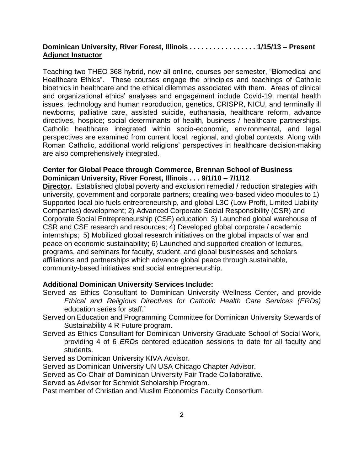### **Dominican University, River Forest, Illinois . . . . . . . . . . . . . . . . . 1/15/13 – Present Adjunct Instuctor**

Teaching two THEO 368 hybrid, now all online, courses per semester, "Biomedical and Healthcare Ethics". These courses engage the principles and teachings of Catholic bioethics in healthcare and the ethical dilemmas associated with them. Areas of clinical and organizational ethics' analyses and engagement include Covid-19, mental health issues, technology and human reproduction, genetics, CRISPR, NICU, and terminally ill newborns, palliative care, assisted suicide, euthanasia, healthcare reform, advance directives, hospice; social determinants of health, business / healthcare partnerships. Catholic healthcare integrated within socio-economic, environmental, and legal perspectives are examined from current local, regional, and global contexts. Along with Roman Catholic, additional world religions' perspectives in healthcare decision-making are also comprehensively integrated.

### **Center for Global Peace through Commerce, Brennan School of Business Dominican University, River Forest, Illinois . . . 9/1/10 – 7/1/12**

**Director.** Established global poverty and exclusion remedial / reduction strategies with university, government and corporate partners; creating web-based video modules to 1) Supported local bio fuels entrepreneurship, and global L3C (Low-Profit, Limited Liability Companies) development; 2) Advanced Corporate Social Responsibility (CSR) and Corporate Social Entrepreneurship (CSE) education; 3) Launched global warehouse of CSR and CSE research and resources; 4) Developed global corporate / academic internships; 5) Mobilized global research initiatives on the global impacts of war and peace on economic sustainability; 6) Launched and supported creation of lectures, programs, and seminars for faculty, student, and global businesses and scholars affiliations and partnerships which advance global peace through sustainable, community-based initiatives and social entrepreneurship.

### **Additional Dominican University Services Include:**

- Served as Ethics Consultant to Dominican University Wellness Center, and provide *Ethical and Religious Directives for Catholic Health Care Services (ERDs)*  education series for staff.`
- Served on Education and Programming Committee for Dominican University Stewards of Sustainability 4 R Future program.
- Served as Ethics Consultant for Dominican University Graduate School of Social Work, providing 4 of 6 *ERDs* centered education sessions to date for all faculty and students.
- Served as Dominican University KIVA Advisor.
- Served as Dominican University UN USA Chicago Chapter Advisor.
- Served as Co-Chair of Dominican University Fair Trade Collaborative.
- Served as Advisor for Schmidt Scholarship Program.
- Past member of Christian and Muslim Economics Faculty Consortium.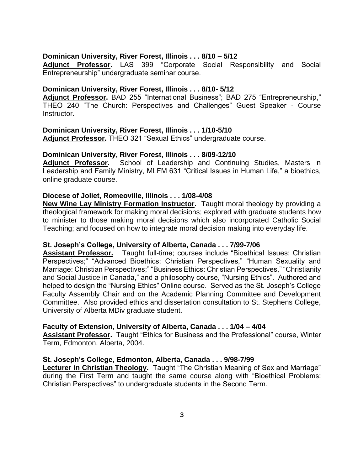### **Dominican University, River Forest, Illinois . . . 8/10 – 5/12**

**Adjunct Professor.** LAS 399 "Corporate Social Responsibility and Social Entrepreneurship" undergraduate seminar course.

### **Dominican University, River Forest, Illinois . . . 8/10- 5/12**

**Adjunct Professor.** BAD 255 "International Business"; BAD 275 "Entrepreneurship," THEO 240 "The Church: Perspectives and Challenges" Guest Speaker - Course Instructor.

**Dominican University, River Forest, Illinois . . . 1/10-5/10 Adjunct Professor.** THEO 321 "Sexual Ethics" undergraduate course.

#### **Dominican University, River Forest, Illinois . . . 8/09-12/10**

**Adjunct Professor.** School of Leadership and Continuing Studies, Masters in Leadership and Family Ministry, MLFM 631 "Critical Issues in Human Life," a bioethics, online graduate course.

#### **Diocese of Joliet, Romeoville, Illinois . . . 1/08-4/08**

**New Wine Lay Ministry Formation Instructor.** Taught moral theology by providing a theological framework for making moral decisions; explored with graduate students how to minister to those making moral decisions which also incorporated Catholic Social Teaching; and focused on how to integrate moral decision making into everyday life.

#### **St. Joseph's College, University of Alberta, Canada . . . 7/99-7/06**

**Assistant Professor.** Taught full-time; courses include "Bioethical Issues: Christian Perspectives;" "Advanced Bioethics: Christian Perspectives," "Human Sexuality and Marriage: Christian Perspectives;" "Business Ethics: Christian Perspectives," "Christianity and Social Justice in Canada," and a philosophy course, "Nursing Ethics". Authored and helped to design the "Nursing Ethics" Online course. Served as the St. Joseph's College Faculty Assembly Chair and on the Academic Planning Committee and Development Committee. Also provided ethics and dissertation consultation to St. Stephens College, University of Alberta MDiv graduate student.

#### **Faculty of Extension, University of Alberta, Canada . . . 1/04 – 4/04**

**Assistant Professor.** Taught "Ethics for Business and the Professional" course, Winter Term, Edmonton, Alberta, 2004.

#### **St. Joseph's College, Edmonton, Alberta, Canada . . . 9/98-7/99**

**Lecturer in Christian Theology.** Taught "The Christian Meaning of Sex and Marriage" during the First Term and taught the same course along with "Bioethical Problems: Christian Perspectives" to undergraduate students in the Second Term.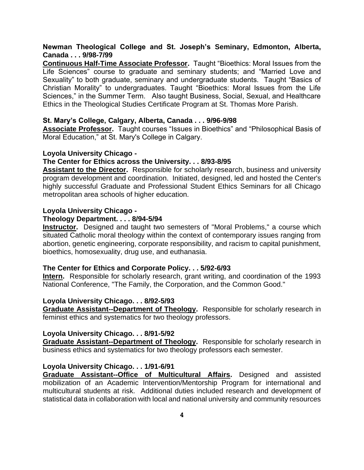### **Newman Theological College and St. Joseph's Seminary, Edmonton, Alberta, Canada . . . 9/98-7/99**

**Continuous Half-Time Associate Professor.** Taught "Bioethics: Moral Issues from the Life Sciences" course to graduate and seminary students; and "Married Love and Sexuality" to both graduate, seminary and undergraduate students. Taught "Basics of Christian Morality" to undergraduates. Taught "Bioethics: Moral Issues from the Life Sciences," in the Summer Term. Also taught Business, Social, Sexual, and Healthcare Ethics in the Theological Studies Certificate Program at St. Thomas More Parish.

#### **St. Mary's College, Calgary, Alberta, Canada . . . 9/96-9/98**

**Associate Professor.** Taught courses "Issues in Bioethics" and "Philosophical Basis of Moral Education," at St. Mary's College in Calgary.

#### **Loyola University Chicago -**

#### **The Center for Ethics across the University. . . 8/93-8/95**

**Assistant to the Director.** Responsible for scholarly research, business and university program development and coordination. Initiated, designed, led and hosted the Center's highly successful Graduate and Professional Student Ethics Seminars for all Chicago metropolitan area schools of higher education.

#### **Loyola University Chicago -**

## **Theology Department. . . . 8/94-5/94**

**Instructor.** Designed and taught two semesters of "Moral Problems," a course which situated Catholic moral theology within the context of contemporary issues ranging from abortion, genetic engineering, corporate responsibility, and racism to capital punishment, bioethics, homosexuality, drug use, and euthanasia.

#### **The Center for Ethics and Corporate Policy. . . 5/92-6/93**

**Intern.** Responsible for scholarly research, grant writing, and coordination of the 1993 National Conference, "The Family, the Corporation, and the Common Good."

#### **Loyola University Chicago. . . 8/92-5/93**

**Graduate Assistant--Department of Theology.** Responsible for scholarly research in feminist ethics and systematics for two theology professors.

#### **Loyola University Chicago. . . 8/91-5/92**

**Graduate Assistant--Department of Theology.** Responsible for scholarly research in business ethics and systematics for two theology professors each semester.

#### **Loyola University Chicago. . . 1/91-6/91**

**Graduate Assistant--Office of Multicultural Affairs.** Designed and assisted mobilization of an Academic Intervention/Mentorship Program for international and multicultural students at risk. Additional duties included research and development of statistical data in collaboration with local and national university and community resources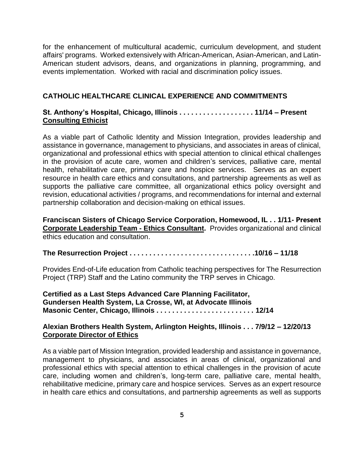for the enhancement of multicultural academic, curriculum development, and student affairs' programs. Worked extensively with African-American, Asian-American, and Latin-American student advisors, deans, and organizations in planning, programming, and events implementation. Worked with racial and discrimination policy issues.

### **CATHOLIC HEALTHCARE CLINICAL EXPERIENCE AND COMMITMENTS**

## **St. Anthony's Hospital, Chicago, Illinois . . . . . . . . . . . . . . . . . . . 11/14 – Present Consulting Ethicist**

As a viable part of Catholic Identity and Mission Integration, provides leadership and assistance in governance, management to physicians, and associates in areas of clinical, organizational and professional ethics with special attention to clinical ethical challenges in the provision of acute care, women and children's services, palliative care, mental health, rehabilitative care, primary care and hospice services. Serves as an expert resource in health care ethics and consultations, and partnership agreements as well as supports the palliative care committee, all organizational ethics policy oversight and revision, educational activities / programs, and recommendations for internal and external partnership collaboration and decision-making on ethical issues.

**Franciscan Sisters of Chicago Service Corporation, Homewood, IL . . 1/11- Present Corporate Leadership Team - Ethics Consultant.** Provides organizational and clinical ethics education and consultation.

**The Resurrection Project . . . . . . . . . . . . . . . . . . . . . . . . . . . . . . . .10/16 – 11/18**

Provides End-of-Life education from Catholic teaching perspectives for The Resurrection Project (TRP) Staff and the Latino community the TRP serves in Chicago.

**Certified as a Last Steps Advanced Care Planning Facilitator, Gundersen Health System, La Crosse, WI, at Advocate Illinois Masonic Center, Chicago, Illinois . . . . . . . . . . . . . . . . . . . . . . . . . 12/14**

# **Alexian Brothers Health System, Arlington Heights, Illinois . . . 7/9/12 – 12/20/13 Corporate Director of Ethics**

As a viable part of Mission Integration, provided leadership and assistance in governance, management to physicians, and associates in areas of clinical, organizational and professional ethics with special attention to ethical challenges in the provision of acute care, including women and children's, long-term care, palliative care, mental health, rehabilitative medicine, primary care and hospice services. Serves as an expert resource in health care ethics and consultations, and partnership agreements as well as supports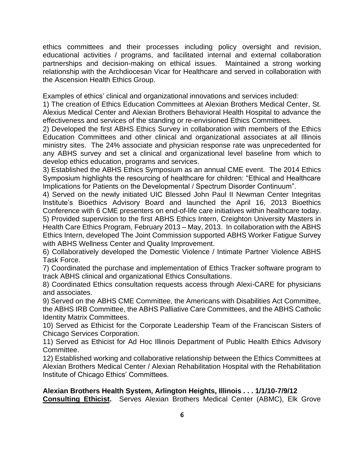ethics committees and their processes including policy oversight and revision, educational activities / programs, and facilitated internal and external collaboration partnerships and decision-making on ethical issues. Maintained a strong working relationship with the Archdiocesan Vicar for Healthcare and served in collaboration with the Ascension Health Ethics Group.

Examples of ethics' clinical and organizational innovations and services included:

1) The creation of Ethics Education Committees at Alexian Brothers Medical Center, St. Alexius Medical Center and Alexian Brothers Behavioral Health Hospital to advance the effectiveness and services of the standing or re-envisioned Ethics Committees.

2) Developed the first ABHS Ethics Survey in collaboration with members of the Ethics Education Committees and other clinical and organizational associates at all Illinois ministry sites. The 24% associate and physician response rate was unprecedented for any ABHS survey and set a clinical and organizational level baseline from which to develop ethics education, programs and services.

3) Established the ABHS Ethics Symposium as an annual CME event. The 2014 Ethics Symposium highlights the resourcing of healthcare for children: "Ethical and Healthcare Implications for Patients on the Developmental / Spectrum Disorder Continuum".

4) Served on the newly initiated UIC Blessed John Paul II Newman Center Integritas Institute's Bioethics Advisory Board and launched the April 16, 2013 Bioethics Conference with 6 CME presenters on end-of-life care initiatives within healthcare today. 5) Provided supervision to the first ABHS Ethics Intern, Creighton University Masters in Health Care Ethics Program, February 2013 – May, 2013. In collaboration with the ABHS Ethics Intern, developed The Joint Commission supported ABHS Worker Fatigue Survey with ABHS Wellness Center and Quality Improvement.

6) Collaboratively developed the Domestic Violence / Intimate Partner Violence ABHS Task Force.

7) Coordinated the purchase and implementation of Ethics Tracker software program to track ABHS clinical and organizational Ethics Consultations.

8) Coordinated Ethics consultation requests access through Alexi-CARE for physicians and associates.

9) Served on the ABHS CME Committee, the Americans with Disabilities Act Committee, the ABHS IRB Committee, the ABHS Palliative Care Committees, and the ABHS Catholic Identity Matrix Committees.

10) Served as Ethicist for the Corporate Leadership Team of the Franciscan Sisters of Chicago Services Corporation.

11) Served as Ethicist for Ad Hoc Illinois Department of Public Health Ethics Advisory Committee.

12) Established working and collaborative relationship between the Ethics Committees at Alexian Brothers Medical Center / Alexian Rehabilitation Hospital with the Rehabilitation Institute of Chicago Ethics' Committees.

**Alexian Brothers Health System, Arlington Heights, Illinois . . . 1/1/10-7/9/12 Consulting Ethicist.** Serves Alexian Brothers Medical Center (ABMC), Elk Grove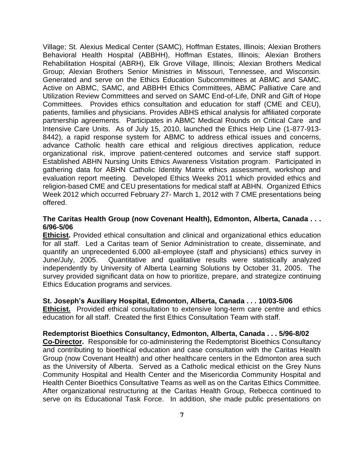Village; St. Alexius Medical Center (SAMC), Hoffman Estates, Illinois; Alexian Brothers Behavioral Health Hospital (ABBHH), Hoffman Estates, Illinois; Alexian Brothers Rehabilitation Hospital (ABRH), Elk Grove Village, Illinois; Alexian Brothers Medical Group; Alexian Brothers Senior Ministries in Missouri, Tennessee, and Wisconsin. Generated and serve on the Ethics Education Subcommittees at ABMC and SAMC. Active on ABMC, SAMC, and ABBHH Ethics Committees, ABMC Palliative Care and Utilization Review Committees and served on SAMC End-of-Life, DNR and Gift of Hope Committees. Provides ethics consultation and education for staff (CME and CEU), patients, families and physicians. Provides ABHS ethical analysis for affiliated corporate partnership agreements. Participates in ABMC Medical Rounds on Critical Care and Intensive Care Units. As of July 15, 2010, launched the Ethics Help Line (1-877-913- 8442), a rapid response system for ABMC to address ethical issues and concerns, advance Catholic health care ethical and religious directives application, reduce organizational risk, improve patient-centered outcomes and service staff support. Established ABHN Nursing Units Ethics Awareness Visitation program. Participated in gathering data for ABHN Catholic Identity Matrix ethics assessment, workshop and evaluation report meeting. Developed Ethics Weeks 2011 which provided ethics and religion-based CME and CEU presentations for medical staff at ABHN. Organized Ethics Week 2012 which occurred February 27- March 1, 2012 with 7 CME presentations being offered.

### **The Caritas Health Group (now Covenant Health), Edmonton, Alberta, Canada . . . 6/96-5/06**

**Ethicist.** Provided ethical consultation and clinical and organizational ethics education for all staff. Led a Caritas team of Senior Administration to create, disseminate, and quantify an unprecedented 6,000 all-employee (staff and physicians) ethics survey in June/July, 2005. Quantitative and qualitative results were statistically analyzed independently by University of Alberta Learning Solutions by October 31, 2005. The survey provided significant data on how to prioritize, prepare, and strategize continuing Ethics Education programs and services.

### **St. Joseph's Auxiliary Hospital, Edmonton, Alberta, Canada . . . 10/03-5/06**

**Ethicist.** Provided ethical consultation to extensive long-term care centre and ethics education for all staff. Created the first Ethics Consultation Team with staff.

#### **Redemptorist Bioethics Consultancy, Edmonton, Alberta, Canada . . . 5/96-8/02**

**Co-Director.** Responsible for co-administering the Redemptorist Bioethics Consultancy and contributing to bioethical education and case consultation with the Caritas Health Group (now Covenant Health) and other healthcare centers in the Edmonton area such as the University of Alberta. Served as a Catholic medical ethicist on the Grey Nuns Community Hospital and Health Center and the Misericordia Community Hospital and Health Center Bioethics Consultative Teams as well as on the Caritas Ethics Committee. After organizational restructuring at the Caritas Health Group, Rebecca continued to serve on its Educational Task Force. In addition, she made public presentations on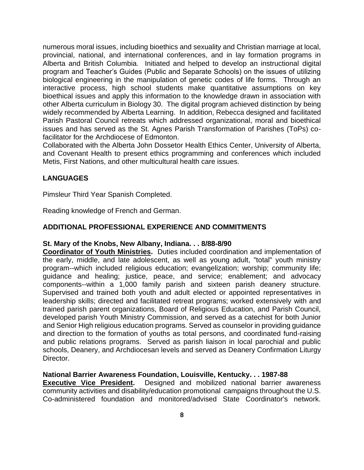numerous moral issues, including bioethics and sexuality and Christian marriage at local, provincial, national, and international conferences, and in lay formation programs in Alberta and British Columbia. Initiated and helped to develop an instructional digital program and Teacher's Guides (Public and Separate Schools) on the issues of utilizing biological engineering in the manipulation of genetic codes of life forms. Through an interactive process, high school students make quantitative assumptions on key bioethical issues and apply this information to the knowledge drawn in association with other Alberta curriculum in Biology 30. The digital program achieved distinction by being widely recommended by Alberta Learning. In addition, Rebecca designed and facilitated Parish Pastoral Council retreats which addressed organizational, moral and bioethical issues and has served as the St. Agnes Parish Transformation of Parishes (ToPs) cofacilitator for the Archdiocese of Edmonton.

Collaborated with the Alberta John Dossetor Health Ethics Center, University of Alberta, and Covenant Health to present ethics programming and conferences which included Metis, First Nations, and other multicultural health care issues.

### **LANGUAGES**

Pimsleur Third Year Spanish Completed.

Reading knowledge of French and German.

### **ADDITIONAL PROFESSIONAL EXPERIENCE AND COMMITMENTS**

#### **St. Mary of the Knobs, New Albany, Indiana. . . 8/88-8/90**

**Coordinator of Youth Ministries.** Duties included coordination and implementation of the early, middle, and late adolescent, as well as young adult, "total" youth ministry program--which included religious education; evangelization; worship; community life; guidance and healing; justice, peace, and service; enablement; and advocacy components--within a 1,000 family parish and sixteen parish deanery structure. Supervised and trained both youth and adult elected or appointed representatives in leadership skills; directed and facilitated retreat programs; worked extensively with and trained parish parent organizations, Board of Religious Education, and Parish Council, developed parish Youth Ministry Commission, and served as a catechist for both Junior and Senior High religious education programs. Served as counselor in providing guidance and direction to the formation of youths as total persons, and coordinated fund-raising and public relations programs. Served as parish liaison in local parochial and public schools, Deanery, and Archdiocesan levels and served as Deanery Confirmation Liturgy Director.

#### **National Barrier Awareness Foundation, Louisville, Kentucky. . . 1987-88**

**Executive Vice President.** Designed and mobilized national barrier awareness community activities and disability/education promotional campaigns throughout the U.S. Co-administered foundation and monitored/advised State Coordinator's network.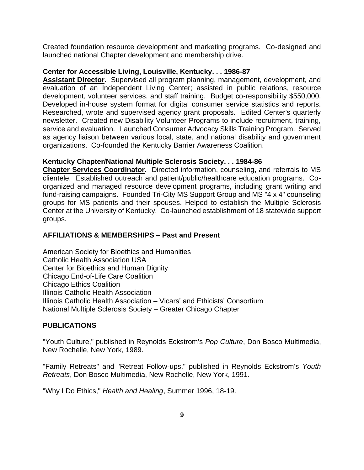Created foundation resource development and marketing programs. Co-designed and launched national Chapter development and membership drive.

### **Center for Accessible Living, Louisville, Kentucky. . . 1986-87**

**Assistant Director.** Supervised all program planning, management, development, and evaluation of an Independent Living Center; assisted in public relations, resource development, volunteer services, and staff training. Budget co-responsibility \$550,000. Developed in-house system format for digital consumer service statistics and reports. Researched, wrote and supervised agency grant proposals. Edited Center's quarterly newsletter. Created new Disability Volunteer Programs to include recruitment, training, service and evaluation. Launched Consumer Advocacy Skills Training Program. Served as agency liaison between various local, state, and national disability and government organizations. Co-founded the Kentucky Barrier Awareness Coalition.

### **Kentucky Chapter/National Multiple Sclerosis Society. . . 1984-86**

**Chapter Services Coordinator.** Directed information, counseling, and referrals to MS clientele. Established outreach and patient/public/healthcare education programs. Coorganized and managed resource development programs, including grant writing and fund-raising campaigns. Founded Tri-City MS Support Group and MS "4 x 4" counseling groups for MS patients and their spouses. Helped to establish the Multiple Sclerosis Center at the University of Kentucky. Co-launched establishment of 18 statewide support groups.

## **AFFILIATIONS & MEMBERSHIPS – Past and Present**

American Society for Bioethics and Humanities Catholic Health Association USA Center for Bioethics and Human Dignity Chicago End-of-Life Care Coalition Chicago Ethics Coalition Illinois Catholic Health Association Illinois Catholic Health Association – Vicars' and Ethicists' Consortium National Multiple Sclerosis Society – Greater Chicago Chapter

# **PUBLICATIONS**

"Youth Culture," published in Reynolds Eckstrom's *Pop Culture*, Don Bosco Multimedia, New Rochelle, New York, 1989.

"Family Retreats" and "Retreat Follow-ups," published in Reynolds Eckstrom's *Youth Retreats*, Don Bosco Multimedia, New Rochelle, New York, 1991.

"Why I Do Ethics," *Health and Healing*, Summer 1996, 18-19.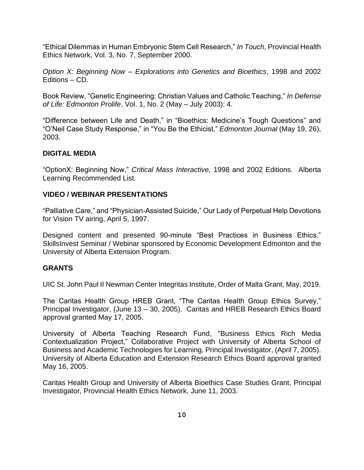"Ethical Dilemmas in Human Embryonic Stem Cell Research," *In Touch*, Provincial Health Ethics Network, Vol. 3, No. 7, September 2000.

*Option X: Beginning Now – Explorations into Genetics and Bioethics*, 1998 and 2002 Editions – CD.

Book Review, "Genetic Engineering: Christian Values and Catholic Teaching," *In Defense of Life: Edmonton Prolife*, Vol. 1, No. 2 (May – July 2003): 4.

"Difference between Life and Death," in "Bioethics: Medicine's Tough Questions" and "O'Neil Case Study Response," in "You Be the Ethicist," *Edmonton Journal* (May 19, 26), 2003.

# **DIGITAL MEDIA**

"OptionX: Beginning Now," *Critical Mass Interactive,* 1998 and 2002 Editions. Alberta Learning Recommended List.

# **VIDEO / WEBINAR PRESENTATIONS**

"Palliative Care," and "Physician-Assisted Suicide," Our Lady of Perpetual Help Devotions for Vision TV airing, April 5, 1997.

Designed content and presented 90-minute "Best Practices in Business Ethics," SkillsInvest Seminar / Webinar sponsored by Economic Development Edmonton and the University of Alberta Extension Program.

# **GRANTS**

UIC St. John Paul II Newman Center Integritas Institute, Order of Malta Grant, May, 2019.

The Caritas Health Group HREB Grant, "The Caritas Health Group Ethics Survey," Principal Investigator, (June 13 – 30, 2005). Caritas and HREB Research Ethics Board approval granted May 17, 2005.

University of Alberta Teaching Research Fund, "Business Ethics Rich Media Contextualization Project," Collaborative Project with University of Alberta School of Business and Academic Technologies for Learning, Principal Investigator, (April 7, 2005). University of Alberta Education and Extension Research Ethics Board approval granted May 16, 2005.

Caritas Health Group and University of Alberta Bioethics Case Studies Grant, Principal Investigator, Provincial Health Ethics Network, June 11, 2003.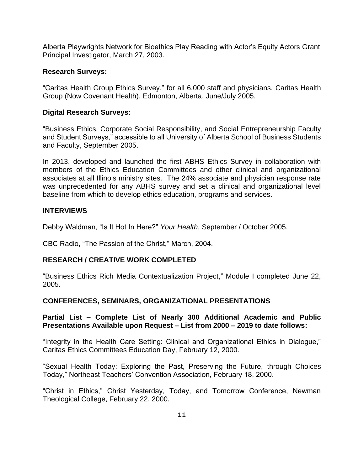Alberta Playwrights Network for Bioethics Play Reading with Actor's Equity Actors Grant Principal Investigator, March 27, 2003.

### **Research Surveys:**

"Caritas Health Group Ethics Survey," for all 6,000 staff and physicians, Caritas Health Group (Now Covenant Health), Edmonton, Alberta, June/July 2005.

### **Digital Research Surveys:**

"Business Ethics, Corporate Social Responsibility, and Social Entrepreneurship Faculty and Student Surveys," accessible to all University of Alberta School of Business Students and Faculty, September 2005.

In 2013, developed and launched the first ABHS Ethics Survey in collaboration with members of the Ethics Education Committees and other clinical and organizational associates at all Illinois ministry sites. The 24% associate and physician response rate was unprecedented for any ABHS survey and set a clinical and organizational level baseline from which to develop ethics education, programs and services.

### **INTERVIEWS**

Debby Waldman, "Is It Hot In Here?" *Your Health*, September / October 2005.

CBC Radio, "The Passion of the Christ," March, 2004.

# **RESEARCH / CREATIVE WORK COMPLETED**

"Business Ethics Rich Media Contextualization Project," Module I completed June 22, 2005.

# **CONFERENCES, SEMINARS, ORGANIZATIONAL PRESENTATIONS**

# **Partial List – Complete List of Nearly 300 Additional Academic and Public Presentations Available upon Request – List from 2000 – 2019 to date follows:**

"Integrity in the Health Care Setting: Clinical and Organizational Ethics in Dialogue," Caritas Ethics Committees Education Day, February 12, 2000.

"Sexual Health Today: Exploring the Past, Preserving the Future, through Choices Today," Northeast Teachers' Convention Association, February 18, 2000.

"Christ in Ethics," Christ Yesterday, Today, and Tomorrow Conference, Newman Theological College, February 22, 2000.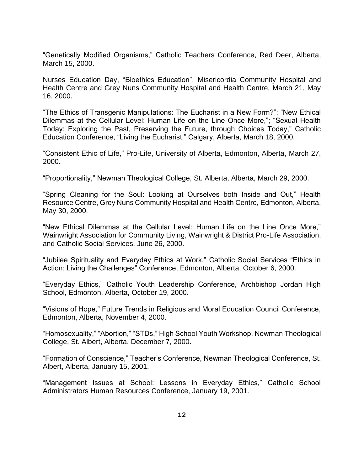"Genetically Modified Organisms," Catholic Teachers Conference, Red Deer, Alberta, March 15, 2000.

Nurses Education Day, "Bioethics Education", Misericordia Community Hospital and Health Centre and Grey Nuns Community Hospital and Health Centre, March 21, May 16, 2000.

"The Ethics of Transgenic Manipulations: The Eucharist in a New Form?"; "New Ethical Dilemmas at the Cellular Level: Human Life on the Line Once More,"; "Sexual Health Today: Exploring the Past, Preserving the Future, through Choices Today," Catholic Education Conference, "Living the Eucharist," Calgary, Alberta, March 18, 2000.

"Consistent Ethic of Life," Pro-Life, University of Alberta, Edmonton, Alberta, March 27, 2000.

"Proportionality," Newman Theological College, St. Alberta, Alberta, March 29, 2000.

"Spring Cleaning for the Soul: Looking at Ourselves both Inside and Out," Health Resource Centre, Grey Nuns Community Hospital and Health Centre, Edmonton, Alberta, May 30, 2000.

"New Ethical Dilemmas at the Cellular Level: Human Life on the Line Once More," Wainwright Association for Community Living, Wainwright & District Pro-Life Association, and Catholic Social Services, June 26, 2000.

"Jubilee Spirituality and Everyday Ethics at Work," Catholic Social Services "Ethics in Action: Living the Challenges" Conference, Edmonton, Alberta, October 6, 2000.

"Everyday Ethics," Catholic Youth Leadership Conference, Archbishop Jordan High School, Edmonton, Alberta, October 19, 2000.

"Visions of Hope," Future Trends in Religious and Moral Education Council Conference, Edmonton, Alberta, November 4, 2000.

"Homosexuality," "Abortion," "STDs," High School Youth Workshop, Newman Theological College, St. Albert, Alberta, December 7, 2000.

"Formation of Conscience," Teacher's Conference, Newman Theological Conference, St. Albert, Alberta, January 15, 2001.

"Management Issues at School: Lessons in Everyday Ethics," Catholic School Administrators Human Resources Conference, January 19, 2001.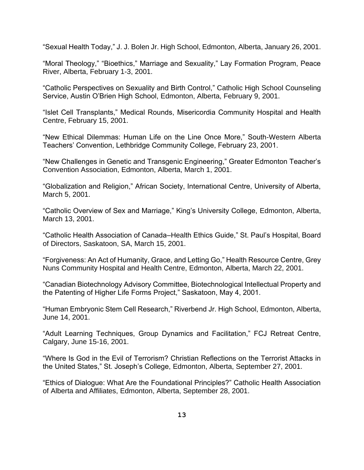"Sexual Health Today," J. J. Bolen Jr. High School, Edmonton, Alberta, January 26, 2001.

"Moral Theology," "Bioethics," Marriage and Sexuality," Lay Formation Program, Peace River, Alberta, February 1-3, 2001.

"Catholic Perspectives on Sexuality and Birth Control," Catholic High School Counseling Service, Austin O'Brien High School, Edmonton, Alberta, February 9, 2001.

"Islet Cell Transplants," Medical Rounds, Misericordia Community Hospital and Health Centre, February 15, 2001.

"New Ethical Dilemmas: Human Life on the Line Once More," South-Western Alberta Teachers' Convention, Lethbridge Community College, February 23, 2001.

"New Challenges in Genetic and Transgenic Engineering," Greater Edmonton Teacher's Convention Association, Edmonton, Alberta, March 1, 2001.

"Globalization and Religion," African Society, International Centre, University of Alberta, March 5, 2001.

"Catholic Overview of Sex and Marriage," King's University College, Edmonton, Alberta, March 13, 2001.

"Catholic Health Association of Canada–Health Ethics Guide," St. Paul's Hospital, Board of Directors, Saskatoon, SA, March 15, 2001.

"Forgiveness: An Act of Humanity, Grace, and Letting Go," Health Resource Centre, Grey Nuns Community Hospital and Health Centre, Edmonton, Alberta, March 22, 2001.

"Canadian Biotechnology Advisory Committee, Biotechnological Intellectual Property and the Patenting of Higher Life Forms Project," Saskatoon, May 4, 2001.

"Human Embryonic Stem Cell Research," Riverbend Jr. High School, Edmonton, Alberta, June 14, 2001.

"Adult Learning Techniques, Group Dynamics and Facilitation," FCJ Retreat Centre, Calgary, June 15-16, 2001.

"Where Is God in the Evil of Terrorism? Christian Reflections on the Terrorist Attacks in the United States," St. Joseph's College, Edmonton, Alberta, September 27, 2001.

"Ethics of Dialogue: What Are the Foundational Principles?" Catholic Health Association of Alberta and Affiliates, Edmonton, Alberta, September 28, 2001.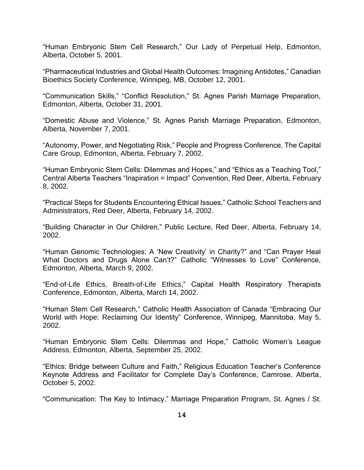"Human Embryonic Stem Cell Research," Our Lady of Perpetual Help, Edmonton, Alberta, October 5, 2001.

"Pharmaceutical Industries and Global Health Outcomes: Imagining Antidotes," Canadian Bioethics Society Conference, Winnipeg, MB, October 12, 2001.

"Communication Skills," "Conflict Resolution," St. Agnes Parish Marriage Preparation, Edmonton, Alberta, October 31, 2001.

"Domestic Abuse and Violence," St. Agnes Parish Marriage Preparation, Edmonton, Alberta, November 7, 2001.

"Autonomy, Power, and Negotiating Risk," People and Progress Conference, The Capital Care Group, Edmonton, Alberta, February 7, 2002.

"Human Embryonic Stem Cells: Dilemmas and Hopes," and "Ethics as a Teaching Tool," Central Alberta Teachers "Inspiration = Impact" Convention, Red Deer, Alberta, February 8, 2002.

"Practical Steps for Students Encountering Ethical Issues," Catholic School Teachers and Administrators, Red Deer, Alberta, February 14, 2002.

"Building Character in Our Children," Public Lecture, Red Deer, Alberta, February 14, 2002.

"Human Genomic Technologies: A 'New Creativity' in Charity?" and "Can Prayer Heal What Doctors and Drugs Alone Can't?" Catholic "Witnesses to Love" Conference, Edmonton, Alberta, March 9, 2002.

"End-of-Life Ethics, Breath-of-Life Ethics," Capital Health Respiratory Therapists Conference, Edmonton, Alberta, March 14, 2002.

"Human Stem Cell Research," Catholic Health Association of Canada "Embracing Our World with Hope: Reclaiming Our Identity" Conference, Winnipeg, Mannitoba, May 5, 2002.

"Human Embryonic Stem Cells: Dilemmas and Hope," Catholic Women's League Address, Edmonton, Alberta, September 25, 2002.

"Ethics: Bridge between Culture and Faith," Religious Education Teacher's Conference Keynote Address and Facilitator for Complete Day's Conference, Camrose, Alberta, October 5, 2002.

"Communication: The Key to Intimacy," Marriage Preparation Program, St. Agnes / St.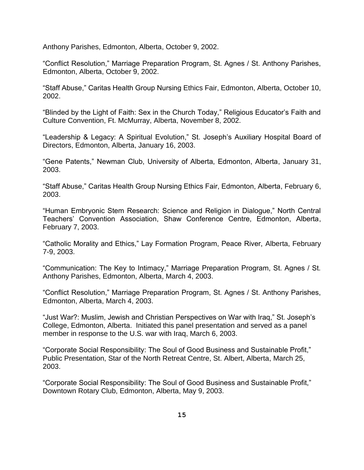Anthony Parishes, Edmonton, Alberta, October 9, 2002.

"Conflict Resolution," Marriage Preparation Program, St. Agnes / St. Anthony Parishes, Edmonton, Alberta, October 9, 2002.

"Staff Abuse," Caritas Health Group Nursing Ethics Fair, Edmonton, Alberta, October 10, 2002.

"Blinded by the Light of Faith: Sex in the Church Today," Religious Educator's Faith and Culture Convention, Ft. McMurray, Alberta, November 8, 2002.

"Leadership & Legacy: A Spiritual Evolution," St. Joseph's Auxiliary Hospital Board of Directors, Edmonton, Alberta, January 16, 2003.

"Gene Patents," Newman Club, University of Alberta, Edmonton, Alberta, January 31, 2003.

"Staff Abuse," Caritas Health Group Nursing Ethics Fair, Edmonton, Alberta, February 6, 2003.

"Human Embryonic Stem Research: Science and Religion in Dialogue," North Central Teachers' Convention Association, Shaw Conference Centre, Edmonton, Alberta, February 7, 2003.

"Catholic Morality and Ethics," Lay Formation Program, Peace River, Alberta, February 7-9, 2003.

"Communication: The Key to Intimacy," Marriage Preparation Program, St. Agnes / St. Anthony Parishes, Edmonton, Alberta, March 4, 2003.

"Conflict Resolution," Marriage Preparation Program, St. Agnes / St. Anthony Parishes, Edmonton, Alberta, March 4, 2003.

"Just War?: Muslim, Jewish and Christian Perspectives on War with Iraq," St. Joseph's College, Edmonton, Alberta. Initiated this panel presentation and served as a panel member in response to the U.S. war with Iraq, March 6, 2003.

"Corporate Social Responsibility: The Soul of Good Business and Sustainable Profit," Public Presentation, Star of the North Retreat Centre, St. Albert, Alberta, March 25, 2003.

"Corporate Social Responsibility: The Soul of Good Business and Sustainable Profit," Downtown Rotary Club, Edmonton, Alberta, May 9, 2003.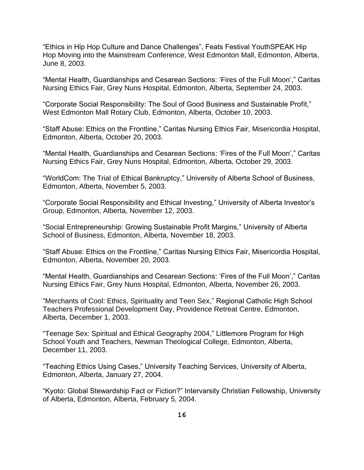"Ethics in Hip Hop Culture and Dance Challenges", Feats Festival YouthSPEAK Hip Hop Moving into the Mainstream Conference, West Edmonton Mall, Edmonton, Alberta, June 8, 2003.

"Mental Health, Guardianships and Cesarean Sections: 'Fires of the Full Moon'," Caritas Nursing Ethics Fair, Grey Nuns Hospital, Edmonton, Alberta, September 24, 2003.

"Corporate Social Responsibility: The Soul of Good Business and Sustainable Profit," West Edmonton Mall Rotary Club, Edmonton, Alberta, October 10, 2003.

"Staff Abuse: Ethics on the Frontline," Caritas Nursing Ethics Fair, Misericordia Hospital, Edmonton, Alberta, October 20, 2003.

"Mental Health, Guardianships and Cesarean Sections: 'Fires of the Full Moon'," Caritas Nursing Ethics Fair, Grey Nuns Hospital, Edmonton, Alberta, October 29, 2003.

"WorldCom: The Trial of Ethical Bankruptcy," University of Alberta School of Business, Edmonton, Alberta, November 5, 2003.

"Corporate Social Responsibility and Ethical Investing," University of Alberta Investor's Group, Edmonton, Alberta, November 12, 2003.

"Social Entrepreneurship: Growing Sustainable Profit Margins," University of Alberta School of Business, Edmonton, Alberta, November 18, 2003.

"Staff Abuse: Ethics on the Frontline," Caritas Nursing Ethics Fair, Misericordia Hospital, Edmonton, Alberta, November 20, 2003.

"Mental Health, Guardianships and Cesarean Sections: 'Fires of the Full Moon'," Caritas Nursing Ethics Fair, Grey Nuns Hospital, Edmonton, Alberta, November 26, 2003.

"Merchants of Cool: Ethics, Spirituality and Teen Sex," Regional Catholic High School Teachers Professional Development Day, Providence Retreat Centre, Edmonton, Alberta, December 1, 2003.

"Teenage Sex: Spiritual and Ethical Geography 2004," Littlemore Program for High School Youth and Teachers, Newman Theological College, Edmonton, Alberta, December 11, 2003.

"Teaching Ethics Using Cases," University Teaching Services, University of Alberta, Edmonton, Alberta, January 27, 2004.

"Kyoto: Global Stewardship Fact or Fiction?" Intervarsity Christian Fellowship, University of Alberta, Edmonton, Alberta, February 5, 2004.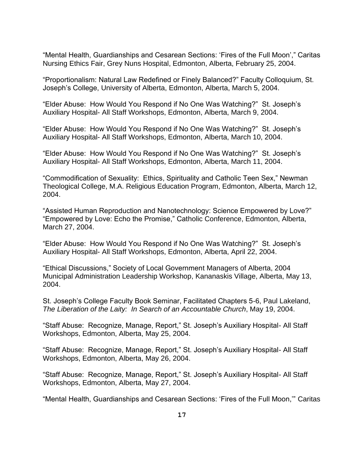"Mental Health, Guardianships and Cesarean Sections: 'Fires of the Full Moon'," Caritas Nursing Ethics Fair, Grey Nuns Hospital, Edmonton, Alberta, February 25, 2004.

"Proportionalism: Natural Law Redefined or Finely Balanced?" Faculty Colloquium, St. Joseph's College, University of Alberta, Edmonton, Alberta, March 5, 2004.

"Elder Abuse: How Would You Respond if No One Was Watching?" St. Joseph's Auxiliary Hospital- All Staff Workshops, Edmonton, Alberta, March 9, 2004.

"Elder Abuse: How Would You Respond if No One Was Watching?" St. Joseph's Auxiliary Hospital- All Staff Workshops, Edmonton, Alberta, March 10, 2004.

"Elder Abuse: How Would You Respond if No One Was Watching?" St. Joseph's Auxiliary Hospital- All Staff Workshops, Edmonton, Alberta, March 11, 2004.

"Commodification of Sexuality: Ethics, Spirituality and Catholic Teen Sex," Newman Theological College, M.A. Religious Education Program, Edmonton, Alberta, March 12, 2004.

"Assisted Human Reproduction and Nanotechnology: Science Empowered by Love?" "Empowered by Love: Echo the Promise," Catholic Conference, Edmonton, Alberta, March 27, 2004.

"Elder Abuse: How Would You Respond if No One Was Watching?" St. Joseph's Auxiliary Hospital- All Staff Workshops, Edmonton, Alberta, April 22, 2004.

"Ethical Discussions," Society of Local Government Managers of Alberta, 2004 Municipal Administration Leadership Workshop, Kananaskis Village, Alberta, May 13, 2004.

St. Joseph's College Faculty Book Seminar, Facilitated Chapters 5-6, Paul Lakeland, *The Liberation of the Laity: In Search of an Accountable Church*, May 19, 2004.

"Staff Abuse: Recognize, Manage, Report," St. Joseph's Auxiliary Hospital- All Staff Workshops, Edmonton, Alberta, May 25, 2004.

"Staff Abuse: Recognize, Manage, Report," St. Joseph's Auxiliary Hospital- All Staff Workshops, Edmonton, Alberta, May 26, 2004.

"Staff Abuse: Recognize, Manage, Report," St. Joseph's Auxiliary Hospital- All Staff Workshops, Edmonton, Alberta, May 27, 2004.

"Mental Health, Guardianships and Cesarean Sections: 'Fires of the Full Moon,'" Caritas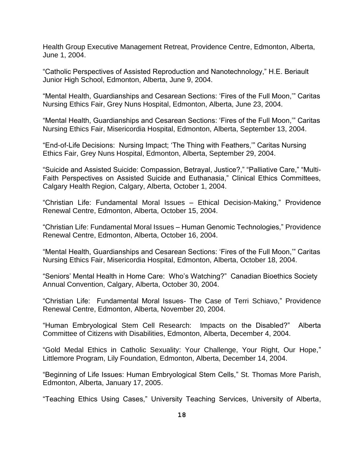Health Group Executive Management Retreat, Providence Centre, Edmonton, Alberta, June 1, 2004.

"Catholic Perspectives of Assisted Reproduction and Nanotechnology," H.E. Beriault Junior High School, Edmonton, Alberta, June 9, 2004.

"Mental Health, Guardianships and Cesarean Sections: 'Fires of the Full Moon,'" Caritas Nursing Ethics Fair, Grey Nuns Hospital, Edmonton, Alberta, June 23, 2004.

"Mental Health, Guardianships and Cesarean Sections: 'Fires of the Full Moon,'" Caritas Nursing Ethics Fair, Misericordia Hospital, Edmonton, Alberta, September 13, 2004.

"End-of-Life Decisions: Nursing Impact; 'The Thing with Feathers,'" Caritas Nursing Ethics Fair, Grey Nuns Hospital, Edmonton, Alberta, September 29, 2004.

"Suicide and Assisted Suicide: Compassion, Betrayal, Justice?," "Palliative Care," "Multi-Faith Perspectives on Assisted Suicide and Euthanasia," Clinical Ethics Committees, Calgary Health Region, Calgary, Alberta, October 1, 2004.

"Christian Life: Fundamental Moral Issues – Ethical Decision-Making," Providence Renewal Centre, Edmonton, Alberta, October 15, 2004.

"Christian Life: Fundamental Moral Issues – Human Genomic Technologies," Providence Renewal Centre, Edmonton, Alberta, October 16, 2004.

"Mental Health, Guardianships and Cesarean Sections: 'Fires of the Full Moon,'" Caritas Nursing Ethics Fair, Misericordia Hospital, Edmonton, Alberta, October 18, 2004.

"Seniors' Mental Health in Home Care: Who's Watching?" Canadian Bioethics Society Annual Convention, Calgary, Alberta, October 30, 2004.

"Christian Life: Fundamental Moral Issues- The Case of Terri Schiavo," Providence Renewal Centre, Edmonton, Alberta, November 20, 2004.

"Human Embryological Stem Cell Research: Impacts on the Disabled?" Alberta Committee of Citizens with Disabilities, Edmonton, Alberta, December 4, 2004.

"Gold Medal Ethics in Catholic Sexuality: Your Challenge, Your Right, Our Hope," Littlemore Program, Lily Foundation, Edmonton, Alberta, December 14, 2004.

"Beginning of Life Issues: Human Embryological Stem Cells," St. Thomas More Parish, Edmonton, Alberta, January 17, 2005.

"Teaching Ethics Using Cases," University Teaching Services, University of Alberta,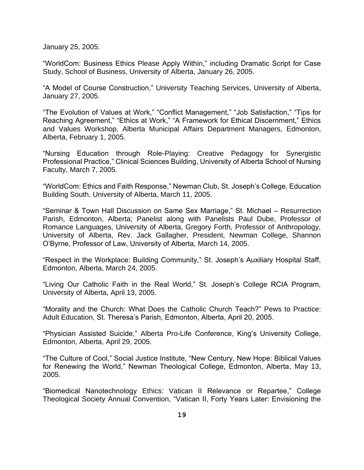January 25, 2005.

"WorldCom: Business Ethics Please Apply Within," including Dramatic Script for Case Study, School of Business, University of Alberta, January 26, 2005.

"A Model of Course Construction," University Teaching Services, University of Alberta, January 27, 2005.

"The Evolution of Values at Work," "Conflict Management," "Job Satisfaction," "Tips for Reaching Agreement," "Ethics at Work," "A Framework for Ethical Discernment," Ethics and Values Workshop, Alberta Municipal Affairs Department Managers, Edmonton, Alberta, February 1, 2005.

"Nursing Education through Role-Playing: Creative Pedagogy for Synergistic Professional Practice," Clinical Sciences Building, University of Alberta School of Nursing Faculty, March 7, 2005.

"WorldCom: Ethics and Faith Response," Newman Club, St. Joseph's College, Education Building South, University of Alberta, March 11, 2005.

"Seminar & Town Hall Discussion on Same Sex Marriage," St. Michael – Resurrection Parish, Edmonton, Alberta; Panelist along with Panelists Paul Dube, Professor of Romance Languages, University of Alberta, Gregory Forth, Professor of Anthropology, University of Alberta, Rev. Jack Gallagher, President, Newman College, Shannon O'Byrne, Professor of Law, University of Alberta, March 14, 2005.

"Respect in the Workplace: Building Community," St. Joseph's Auxiliary Hospital Staff, Edmonton, Alberta, March 24, 2005.

"Living Our Catholic Faith in the Real World," St. Joseph's College RCIA Program, University of Alberta, April 13, 2005.

"Morality and the Church: What Does the Catholic Church Teach?" Pews to Practice: Adult Education, St. Theresa's Parish, Edmonton, Alberta, April 20, 2005.

"Physician Assisted Suicide," Alberta Pro-Life Conference, King's University College, Edmonton, Alberta, April 29, 2005.

"The Culture of Cool," Social Justice Institute, "New Century, New Hope: Biblical Values for Renewing the World," Newman Theological College, Edmonton, Alberta, May 13, 2005.

"Biomedical Nanotechnology Ethics: Vatican II Relevance or Repartee," College Theological Society Annual Convention, "Vatican II, Forty Years Later: Envisioning the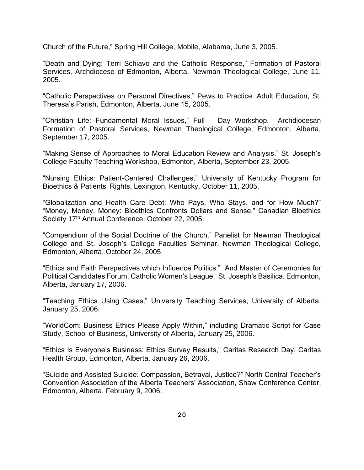Church of the Future," Spring Hill College, Mobile, Alabama, June 3, 2005.

"Death and Dying: Terri Schiavo and the Catholic Response," Formation of Pastoral Services, Archdiocese of Edmonton, Alberta, Newman Theological College, June 11, 2005.

"Catholic Perspectives on Personal Directives," Pews to Practice: Adult Education, St. Theresa's Parish, Edmonton, Alberta, June 15, 2005.

"Christian Life: Fundamental Moral Issues," Full – Day Workshop. Archdiocesan Formation of Pastoral Services, Newman Theological College, Edmonton, Alberta, September 17, 2005.

"Making Sense of Approaches to Moral Education Review and Analysis." St. Joseph's College Faculty Teaching Workshop, Edmonton, Alberta, September 23, 2005.

"Nursing Ethics: Patient-Centered Challenges." University of Kentucky Program for Bioethics & Patients' Rights, Lexington, Kentucky, October 11, 2005.

"Globalization and Health Care Debt: Who Pays, Who Stays, and for How Much?" "Money, Money, Money: Bioethics Confronts Dollars and Sense." Canadian Bioethics Society 17<sup>th</sup> Annual Conference, October 22, 2005.

"Compendium of the Social Doctrine of the Church." Panelist for Newman Theological College and St. Joseph's College Faculties Seminar, Newman Theological College, Edmonton, Alberta, October 24, 2005.

"Ethics and Faith Perspectives which Influence Politics." And Master of Ceremonies for Political Candidates Forum. Catholic Women's League. St. Joseph's Basilica. Edmonton, Alberta, January 17, 2006.

"Teaching Ethics Using Cases," University Teaching Services, University of Alberta, January 25, 2006.

"WorldCom: Business Ethics Please Apply Within," including Dramatic Script for Case Study, School of Business, University of Alberta, January 25, 2006.

"Ethics Is Everyone's Business: Ethics Survey Results," Caritas Research Day, Caritas Health Group, Edmonton, Alberta, January 26, 2006.

"Suicide and Assisted Suicide: Compassion, Betrayal, Justice?" North Central Teacher's Convention Association of the Alberta Teachers' Association, Shaw Conference Center, Edmonton, Alberta, February 9, 2006.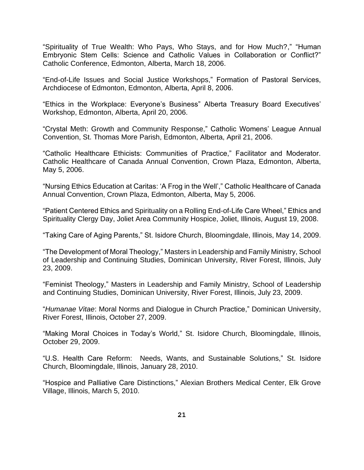"Spirituality of True Wealth: Who Pays, Who Stays, and for How Much?," "Human Embryonic Stem Cells: Science and Catholic Values in Collaboration or Conflict?" Catholic Conference, Edmonton, Alberta, March 18, 2006.

"End-of-Life Issues and Social Justice Workshops," Formation of Pastoral Services, Archdiocese of Edmonton, Edmonton, Alberta, April 8, 2006.

"Ethics in the Workplace: Everyone's Business" Alberta Treasury Board Executives' Workshop, Edmonton, Alberta, April 20, 2006.

"Crystal Meth: Growth and Community Response," Catholic Womens' League Annual Convention, St. Thomas More Parish, Edmonton, Alberta, April 21, 2006.

"Catholic Healthcare Ethicists: Communities of Practice," Facilitator and Moderator. Catholic Healthcare of Canada Annual Convention, Crown Plaza, Edmonton, Alberta, May 5, 2006.

"Nursing Ethics Education at Caritas: 'A Frog in the Well'," Catholic Healthcare of Canada Annual Convention, Crown Plaza, Edmonton, Alberta, May 5, 2006.

"Patient Centered Ethics and Spirituality on a Rolling End-of-Life Care Wheel," Ethics and Spirituality Clergy Day, Joliet Area Community Hospice, Joliet, Illinois, August 19, 2008.

"Taking Care of Aging Parents," St. Isidore Church, Bloomingdale, Illinois, May 14, 2009.

"The Development of Moral Theology," Masters in Leadership and Family Ministry, School of Leadership and Continuing Studies, Dominican University, River Forest, Illinois, July 23, 2009.

"Feminist Theology," Masters in Leadership and Family Ministry, School of Leadership and Continuing Studies, Dominican University, River Forest, Illinois, July 23, 2009.

"*Humanae Vitae*: Moral Norms and Dialogue in Church Practice," Dominican University, River Forest, Illinois, October 27, 2009.

"Making Moral Choices in Today's World," St. Isidore Church, Bloomingdale, Illinois, October 29, 2009.

"U.S. Health Care Reform: Needs, Wants, and Sustainable Solutions," St. Isidore Church, Bloomingdale, Illinois, January 28, 2010.

"Hospice and Palliative Care Distinctions," Alexian Brothers Medical Center, Elk Grove Village, Illinois, March 5, 2010.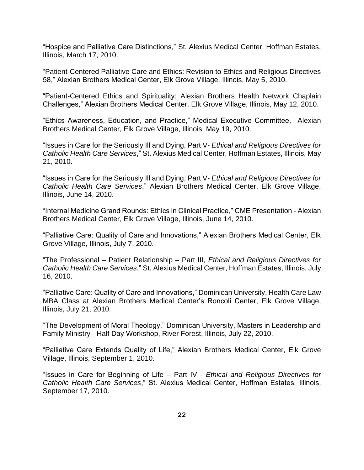"Hospice and Palliative Care Distinctions," St. Alexius Medical Center, Hoffman Estates, Illinois, March 17, 2010.

"Patient-Centered Palliative Care and Ethics: Revision to Ethics and Religious Directives 58," Alexian Brothers Medical Center, Elk Grove Village, Illinois, May 5, 2010.

"Patient-Centered Ethics and Spirituality: Alexian Brothers Health Network Chaplain Challenges," Alexian Brothers Medical Center, Elk Grove Village, Illinois, May 12, 2010.

"Ethics Awareness, Education, and Practice," Medical Executive Committee, Alexian Brothers Medical Center, Elk Grove Village, Illinois, May 19, 2010.

"Issues in Care for the Seriously Ill and Dying, Part V- *Ethical and Religious Directives for Catholic Health Care Services*," St. Alexius Medical Center, Hoffman Estates, Illinois, May 21, 2010.

"Issues in Care for the Seriously Ill and Dying, Part V- *Ethical and Religious Directives for Catholic Health Care Services*," Alexian Brothers Medical Center, Elk Grove Village, Illinois, June 14, 2010.

"Internal Medicine Grand Rounds: Ethics in Clinical Practice," CME Presentation - Alexian Brothers Medical Center, Elk Grove Village, Illinois, June 14, 2010.

"Palliative Care: Quality of Care and Innovations," Alexian Brothers Medical Center, Elk Grove Village, Illinois, July 7, 2010.

"The Professional – Patient Relationship – Part III, *Ethical and Religious Directives for Catholic Health Care Services*," St. Alexius Medical Center, Hoffman Estates, Illinois, July 16, 2010.

"Palliative Care: Quality of Care and Innovations," Dominican University, Health Care Law MBA Class at Alexian Brothers Medical Center's Roncoli Center, Elk Grove Village, Illinois, July 21, 2010.

"The Development of Moral Theology," Dominican University, Masters in Leadership and Family Ministry - Half Day Workshop, River Forest, Illinois, July 22, 2010.

"Palliative Care Extends Quality of Life," Alexian Brothers Medical Center, Elk Grove Village, Illinois, September 1, 2010.

"Issues in Care for Beginning of Life – Part IV - *Ethical and Religious Directives for Catholic Health Care Services*," St. Alexius Medical Center, Hoffman Estates, Illinois, September 17, 2010.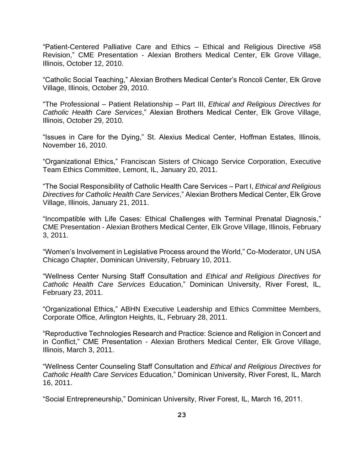"Patient-Centered Palliative Care and Ethics – Ethical and Religious Directive #58 Revision," CME Presentation - Alexian Brothers Medical Center, Elk Grove Village, Illinois, October 12, 2010.

"Catholic Social Teaching," Alexian Brothers Medical Center's Roncoli Center, Elk Grove Village, Illinois, October 29, 2010.

"The Professional – Patient Relationship – Part III, *Ethical and Religious Directives for Catholic Health Care Services*," Alexian Brothers Medical Center, Elk Grove Village, Illinois, October 29, 2010.

"Issues in Care for the Dying," St. Alexius Medical Center, Hoffman Estates, Illinois, November 16, 2010.

"Organizational Ethics," Franciscan Sisters of Chicago Service Corporation, Executive Team Ethics Committee, Lemont, IL, January 20, 2011.

"The Social Responsibility of Catholic Health Care Services – Part I, *Ethical and Religious Directives for Catholic Health Care Services*," Alexian Brothers Medical Center, Elk Grove Village, Illinois, January 21, 2011.

"Incompatible with Life Cases: Ethical Challenges with Terminal Prenatal Diagnosis," CME Presentation - Alexian Brothers Medical Center, Elk Grove Village, Illinois, February 3, 2011.

"Women's Involvement in Legislative Process around the World," Co-Moderator, UN USA Chicago Chapter, Dominican University, February 10, 2011.

"Wellness Center Nursing Staff Consultation and *Ethical and Religious Directives for Catholic Health Care Services* Education," Dominican University, River Forest, IL, February 23, 2011.

"Organizational Ethics," ABHN Executive Leadership and Ethics Committee Members, Corporate Office, Arlington Heights, IL, February 28, 2011.

"Reproductive Technologies Research and Practice: Science and Religion in Concert and in Conflict," CME Presentation - Alexian Brothers Medical Center, Elk Grove Village, Illinois, March 3, 2011.

"Wellness Center Counseling Staff Consultation and *Ethical and Religious Directives for Catholic Health Care Services* Education," Dominican University, River Forest, IL, March 16, 2011.

"Social Entrepreneurship," Dominican University, River Forest, IL, March 16, 2011.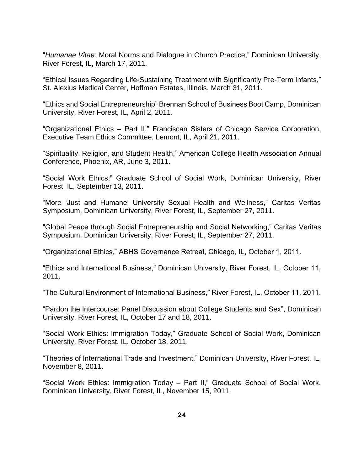"*Humanae Vitae*: Moral Norms and Dialogue in Church Practice," Dominican University, River Forest, IL, March 17, 2011.

"Ethical Issues Regarding Life-Sustaining Treatment with Significantly Pre-Term Infants," St. Alexius Medical Center, Hoffman Estates, Illinois, March 31, 2011.

"Ethics and Social Entrepreneurship" Brennan School of Business Boot Camp, Dominican University, River Forest, IL, April 2, 2011.

"Organizational Ethics – Part II," Franciscan Sisters of Chicago Service Corporation, Executive Team Ethics Committee, Lemont, IL, April 21, 2011.

"Spirituality, Religion, and Student Health," American College Health Association Annual Conference, Phoenix, AR, June 3, 2011.

"Social Work Ethics," Graduate School of Social Work, Dominican University, River Forest, IL, September 13, 2011.

"More 'Just and Humane' University Sexual Health and Wellness," Caritas Veritas Symposium, Dominican University, River Forest, IL, September 27, 2011.

"Global Peace through Social Entrepreneurship and Social Networking," Caritas Veritas Symposium, Dominican University, River Forest, IL, September 27, 2011.

"Organizational Ethics," ABHS Governance Retreat, Chicago, IL, October 1, 2011.

"Ethics and International Business," Dominican University, River Forest, IL, October 11, 2011.

"The Cultural Environment of International Business," River Forest, IL, October 11, 2011.

"Pardon the Intercourse: Panel Discussion about College Students and Sex", Dominican University, River Forest, IL, October 17 and 18, 2011.

"Social Work Ethics: Immigration Today," Graduate School of Social Work, Dominican University, River Forest, IL, October 18, 2011.

"Theories of International Trade and Investment," Dominican University, River Forest, IL, November 8, 2011.

"Social Work Ethics: Immigration Today – Part II," Graduate School of Social Work, Dominican University, River Forest, IL, November 15, 2011.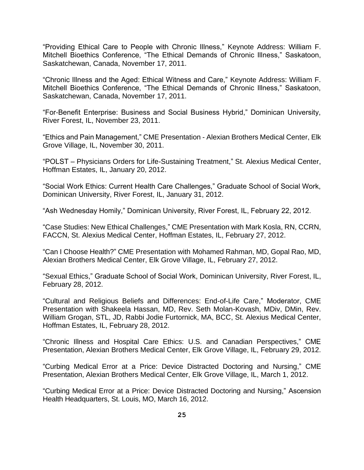"Providing Ethical Care to People with Chronic Illness," Keynote Address: William F. Mitchell Bioethics Conference, "The Ethical Demands of Chronic Illness," Saskatoon, Saskatchewan, Canada, November 17, 2011.

"Chronic Illness and the Aged: Ethical Witness and Care," Keynote Address: William F. Mitchell Bioethics Conference, "The Ethical Demands of Chronic Illness," Saskatoon, Saskatchewan, Canada, November 17, 2011.

"For-Benefit Enterprise: Business and Social Business Hybrid," Dominican University, River Forest, IL, November 23, 2011.

"Ethics and Pain Management," CME Presentation - Alexian Brothers Medical Center, Elk Grove Village, IL, November 30, 2011.

"POLST – Physicians Orders for Life-Sustaining Treatment," St. Alexius Medical Center, Hoffman Estates, IL, January 20, 2012.

"Social Work Ethics: Current Health Care Challenges," Graduate School of Social Work, Dominican University, River Forest, IL, January 31, 2012.

"Ash Wednesday Homily," Dominican University, River Forest, IL, February 22, 2012.

"Case Studies: New Ethical Challenges," CME Presentation with Mark Kosla, RN, CCRN, FACCN, St. Alexius Medical Center, Hoffman Estates, IL, February 27, 2012.

"Can I Choose Health?" CME Presentation with Mohamed Rahman, MD, Gopal Rao, MD, Alexian Brothers Medical Center, Elk Grove Village, IL, February 27, 2012.

"Sexual Ethics," Graduate School of Social Work, Dominican University, River Forest, IL, February 28, 2012.

"Cultural and Religious Beliefs and Differences: End-of-Life Care," Moderator, CME Presentation with Shakeela Hassan, MD, Rev. Seth Molan-Kovash, MDiv, DMin, Rev. William Grogan, STL, JD, Rabbi Jodie Furtornick, MA, BCC, St. Alexius Medical Center, Hoffman Estates, IL, February 28, 2012.

"Chronic Illness and Hospital Care Ethics: U.S. and Canadian Perspectives," CME Presentation, Alexian Brothers Medical Center, Elk Grove Village, IL, February 29, 2012.

"Curbing Medical Error at a Price: Device Distracted Doctoring and Nursing," CME Presentation, Alexian Brothers Medical Center, Elk Grove Village, IL, March 1, 2012.

"Curbing Medical Error at a Price: Device Distracted Doctoring and Nursing," Ascension Health Headquarters, St. Louis, MO, March 16, 2012.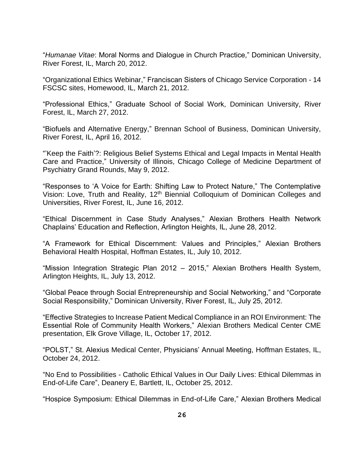"*Humanae Vitae*: Moral Norms and Dialogue in Church Practice," Dominican University, River Forest, IL, March 20, 2012.

"Organizational Ethics Webinar," Franciscan Sisters of Chicago Service Corporation - 14 FSCSC sites, Homewood, IL, March 21, 2012.

"Professional Ethics," Graduate School of Social Work, Dominican University, River Forest, IL, March 27, 2012.

"Biofuels and Alternative Energy," Brennan School of Business, Dominican University, River Forest, IL, April 16, 2012.

"'Keep the Faith'?: Religious Belief Systems Ethical and Legal Impacts in Mental Health Care and Practice," University of Illinois, Chicago College of Medicine Department of Psychiatry Grand Rounds, May 9, 2012.

"Responses to 'A Voice for Earth: Shifting Law to Protect Nature," The Contemplative Vision: Love, Truth and Reality, 12th Biennial Colloquium of Dominican Colleges and Universities, River Forest, IL, June 16, 2012.

"Ethical Discernment in Case Study Analyses," Alexian Brothers Health Network Chaplains' Education and Reflection, Arlington Heights, IL, June 28, 2012.

"A Framework for Ethical Discernment: Values and Principles," Alexian Brothers Behavioral Health Hospital, Hoffman Estates, IL, July 10, 2012.

"Mission Integration Strategic Plan 2012 – 2015," Alexian Brothers Health System, Arlington Heights, IL, July 13, 2012.

"Global Peace through Social Entrepreneurship and Social Networking," and "Corporate Social Responsibility," Dominican University, River Forest, IL, July 25, 2012.

"Effective Strategies to Increase Patient Medical Compliance in an ROI Environment: The Essential Role of Community Health Workers," Alexian Brothers Medical Center CME presentation, Elk Grove Village, IL, October 17, 2012.

"POLST," St. Alexius Medical Center, Physicians' Annual Meeting, Hoffman Estates, IL, October 24, 2012.

"No End to Possibilities - Catholic Ethical Values in Our Daily Lives: Ethical Dilemmas in End-of-Life Care", Deanery E, Bartlett, IL, October 25, 2012.

"Hospice Symposium: Ethical Dilemmas in End-of-Life Care," Alexian Brothers Medical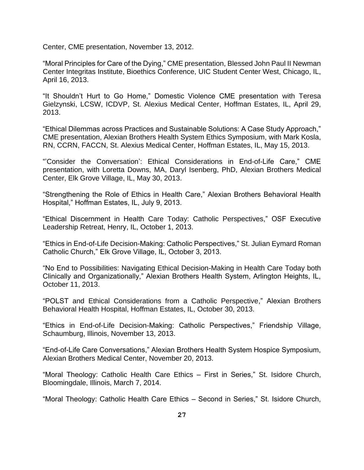Center, CME presentation, November 13, 2012.

"Moral Principles for Care of the Dying," CME presentation, Blessed John Paul II Newman Center Integritas Institute, Bioethics Conference, UIC Student Center West, Chicago, IL, April 16, 2013.

"It Shouldn't Hurt to Go Home," Domestic Violence CME presentation with Teresa Gielzynski, LCSW, ICDVP, St. Alexius Medical Center, Hoffman Estates, IL, April 29, 2013.

"Ethical Dilemmas across Practices and Sustainable Solutions: A Case Study Approach," CME presentation, Alexian Brothers Health System Ethics Symposium, with Mark Kosla, RN, CCRN, FACCN, St. Alexius Medical Center, Hoffman Estates, IL, May 15, 2013.

"'Consider the Conversation': Ethical Considerations in End-of-Life Care," CME presentation, with Loretta Downs, MA, Daryl Isenberg, PhD, Alexian Brothers Medical Center, Elk Grove Village, IL, May 30, 2013.

"Strengthening the Role of Ethics in Health Care," Alexian Brothers Behavioral Health Hospital," Hoffman Estates, IL, July 9, 2013.

"Ethical Discernment in Health Care Today: Catholic Perspectives," OSF Executive Leadership Retreat, Henry, IL, October 1, 2013.

"Ethics in End-of-Life Decision-Making: Catholic Perspectives," St. Julian Eymard Roman Catholic Church," Elk Grove Village, IL, October 3, 2013.

"No End to Possibilities: Navigating Ethical Decision-Making in Health Care Today both Clinically and Organizationally," Alexian Brothers Health System, Arlington Heights, IL, October 11, 2013.

"POLST and Ethical Considerations from a Catholic Perspective," Alexian Brothers Behavioral Health Hospital, Hoffman Estates, IL, October 30, 2013.

"Ethics in End-of-Life Decision-Making: Catholic Perspectives," Friendship Village, Schaumburg, Illinois, November 13, 2013.

"End-of-Life Care Conversations," Alexian Brothers Health System Hospice Symposium, Alexian Brothers Medical Center, November 20, 2013.

"Moral Theology: Catholic Health Care Ethics – First in Series," St. Isidore Church, Bloomingdale, Illinois, March 7, 2014.

"Moral Theology: Catholic Health Care Ethics – Second in Series," St. Isidore Church,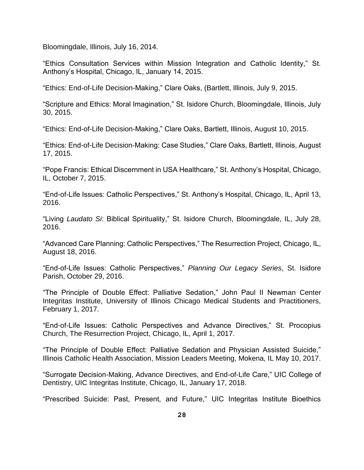Bloomingdale, Illinois, July 16, 2014.

"Ethics Consultation Services within Mission Integration and Catholic Identity," St. Anthony's Hospital, Chicago, IL, January 14, 2015.

"Ethics: End-of-Life Decision-Making," Clare Oaks, (Bartlett, Illinois, July 9, 2015.

"Scripture and Ethics: Moral Imagination," St. Isidore Church, Bloomingdale, Illinois, July 30, 2015.

"Ethics: End-of-Life Decision-Making," Clare Oaks, Bartlett, Illinois, August 10, 2015.

"Ethics: End-of-Life Decision-Making: Case Studies," Clare Oaks, Bartlett, Illinois, August 17, 2015.

"Pope Francis: Ethical Discernment in USA Healthcare," St. Anthony's Hospital, Chicago, IL, October 7, 2015.

"End-of-Life Issues: Catholic Perspectives," St. Anthony's Hospital, Chicago, IL, April 13, 2016.

"Living *Laudato Si*: Biblical Spirituality," St. Isidore Church, Bloomingdale, IL, July 28, 2016.

"Advanced Care Planning: Catholic Perspectives," The Resurrection Project, Chicago, IL, August 18, 2016.

"End-of-Life Issues: Catholic Perspectives," *Planning Our Legacy Series*, St. Isidore Parish, October 29, 2016.

"The Principle of Double Effect: Palliative Sedation," John Paul II Newman Center Integritas Institute, University of Illinois Chicago Medical Students and Practitioners, February 1, 2017.

"End-of-Life Issues: Catholic Perspectives and Advance Directives," St. Procopius Church, The Resurrection Project, Chicago, IL, April 1, 2017.

"The Principle of Double Effect: Palliative Sedation and Physician Assisted Suicide," Illinois Catholic Health Association, Mission Leaders Meeting, Mokena, IL May 10, 2017.

"Surrogate Decision-Making, Advance Directives, and End-of-Life Care," UIC College of Dentistry, UIC Integritas Institute, Chicago, IL, January 17, 2018.

"Prescribed Suicide: Past, Present, and Future," UIC Integritas Institute Bioethics